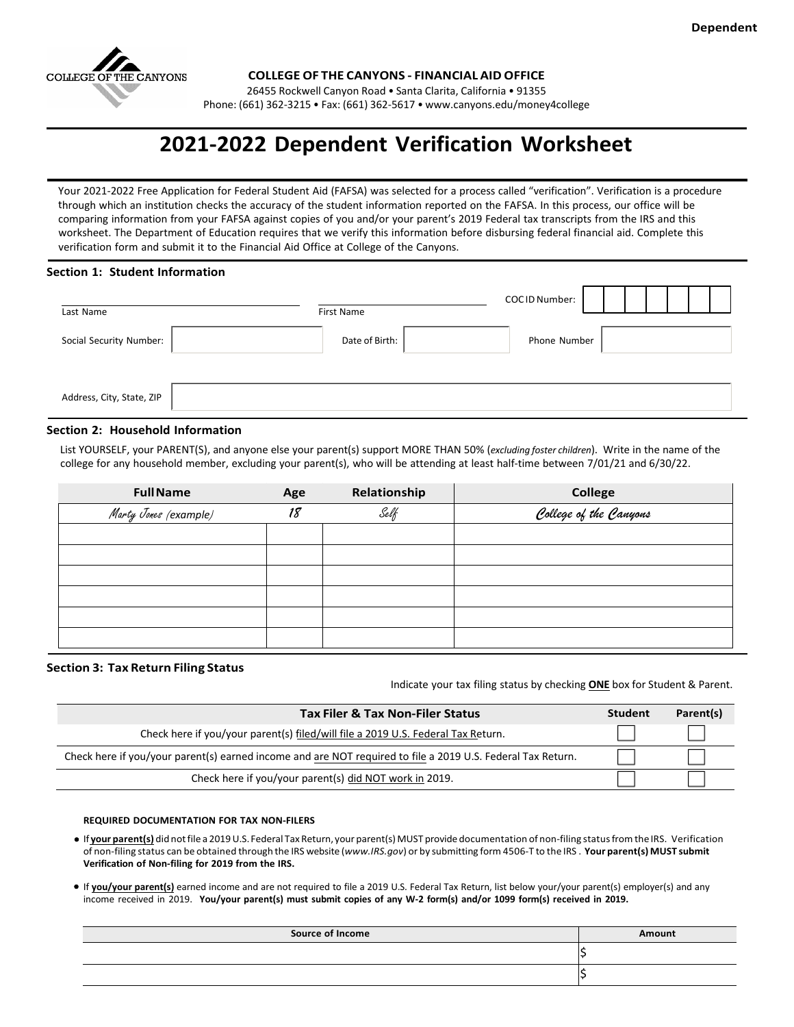

**COLLEGE OF THE CANYONS - FINANCIAL AID OFFICE**

26455 Rockwell Canyon Road • Santa Clarita, California • 91355

Phone: (661) 362-3215 • Fax: (661) 362-5617 [• www.canyons.edu/money4college](http://www.canyons.edu/money4college)

# **2021-2022 Dependent Verification Worksheet**

Your 2021-2022 Free Application for Federal Student Aid (FAFSA) was selected for a process called "verification". Verification is a procedure through which an institution checks the accuracy of the student information reported on the FAFSA. In this process, our office will be comparing information from your FAFSA against copies of you and/or your parent's 2019 Federal tax transcripts from the IRS and this worksheet. The Department of Education requires that we verify this information before disbursing federal financial aid. Complete this verification form and submit it to the Financial Aid Office at College of the Canyons.

#### **Section 1: Student Information**

| Last Name                 | First Name     | COCID Number: |  |
|---------------------------|----------------|---------------|--|
| Social Security Number:   | Date of Birth: | Phone Number  |  |
|                           |                |               |  |
| Address, City, State, ZIP |                |               |  |

#### **Section 2: Household Information**

List YOURSELF, your PARENT(S), and anyone else your parent(s) support MORE THAN 50% (*excluding foster children*). Write in the name of the college for any household member, excluding your parent(s), who will be attending at least half-time between 7/01/21 and 6/30/22.

| College of the Canyons |
|------------------------|
|                        |
|                        |
|                        |
|                        |
|                        |
|                        |
|                        |
|                        |

#### **Section 3: Tax Return Filing Status**

Indicate your tax filing status by checking **ONE** box for Student & Parent.

| <b>Tax Filer &amp; Tax Non-Filer Status</b>                                                                 | <b>Student</b> | Parent(s) |
|-------------------------------------------------------------------------------------------------------------|----------------|-----------|
| Check here if you/your parent(s) filed/will file a 2019 U.S. Federal Tax Return.                            |                |           |
| Check here if you/your parent(s) earned income and are NOT required to file a 2019 U.S. Federal Tax Return. |                |           |
| Check here if you/your parent(s) did NOT work in 2019.                                                      |                |           |

#### **REQUIRED DOCUMENTATION FOR TAX NON-FILERS**

- If **your parent(s)** didnotfile a 2019U.S. Federal Tax Return, your parent(s) MUST provide documentation of non-filing statusfrom the IRS. Verification of non-filing status can be obtained through the IRS website (*www.IRS.gov*) or by submitting form 4506-T to the IRS . **Your parent(s) MUST submit Verification of Non-filing for 2019 from the IRS.**
- If **you/your parent(s)** earned income and are not required to file a 2019 U.S. Federal Tax Return, list below your/your parent(s) employer(s) and any income received in 2019. **You/your parent(s) must submit copies of any W-2 form(s) and/or 1099 form(s) received in 2019.**

| <b>Source of Income</b> | Amount |
|-------------------------|--------|
|                         |        |
|                         |        |